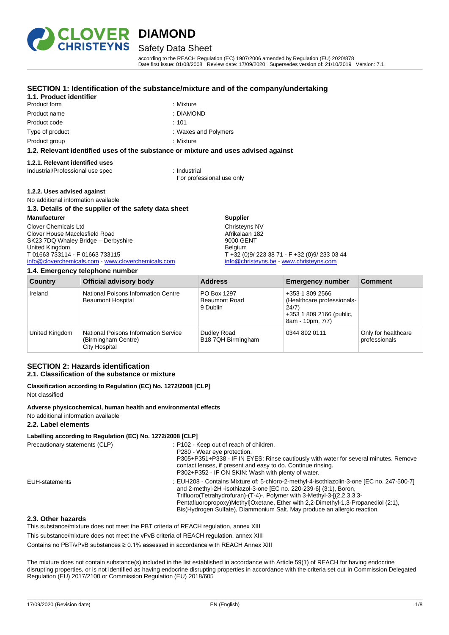

## Safety Data Sheet

according to the REACH Regulation (EC) 1907/2006 amended by Regulation (EU) 2020/878 Date first issue: 01/08/2008 Review date: 17/09/2020 Supersedes version of: 21/10/2019 Version: 7.1

### **SECTION 1: Identification of the substance/mixture and of the company/undertaking**

### **1.1. Product identifier**

- Product form : Nixture Product name : DIAMOND Product code : 101 Type of product Type of product  $\blacksquare$ 
	-
	-
	-
- Product group **: Mixture** : Mixture

### **1.2. Relevant identified uses of the substance or mixture and uses advised against**

### **1.2.1. Relevant identified uses**

Industrial/Professional use spec : Industrial

For professional use only

### **1.2.2. Uses advised against**

### No additional information available

### **1.3. Details of the supplier of the safety data sheet**

### **Manufacturer**

Clover Chemicals Ltd Clover House Macclesfield Road SK23 7DQ Whaley Bridge – Derbyshire United Kingdom T 01663 733114 - F 01663 733115 [info@cloverchemicals.com](mailto:info@cloverchemicals.com) - [www.cloverchemicals.com](http://www.cloverchemicals.com/)

### **1.4. Emergency telephone number**

**Supplier** Christeyns NV Afrikalaan 182 9000 GENT Belgium T +32 (0)9/ 223 38 71 - F +32 (0)9/ 233 03 44 [info@christeyns.be](mailto:info@christeyns.be) - [www.christeyns.com](http://www.christeyns.com/)

| <b>Country</b> | <b>Official advisory body</b>                                                | <b>Address</b>                                  | <b>Emergency number</b>                                                                                | <b>Comment</b>                       |
|----------------|------------------------------------------------------------------------------|-------------------------------------------------|--------------------------------------------------------------------------------------------------------|--------------------------------------|
| Ireland        | National Poisons Information Centre<br><b>Beaumont Hospital</b>              | PO Box 1297<br><b>Beaumont Road</b><br>9 Dublin | +353 1 809 2566<br>(Healthcare professionals-<br>24/7)<br>+353 1 809 2166 (public,<br>8am - 10pm, 7/7) |                                      |
| United Kingdom | National Poisons Information Service<br>(Birmingham Centre)<br>City Hospital | Dudley Road<br>B18 7QH Birmingham               | 0344 892 0111                                                                                          | Only for healthcare<br>professionals |

### **SECTION 2: Hazards identification**

### **2.1. Classification of the substance or mixture**

### **Classification according to Regulation (EC) No. 1272/2008 [CLP]** Not classified

### **Adverse physicochemical, human health and environmental effects**

No additional information available

### **2.2. Label elements**

### **Labelling according to Regulation (EC) No. 1272/2008 [CLP]**

| Precautionary statements (CLP) | : P102 - Keep out of reach of children.<br>P280 - Wear eye protection.<br>P305+P351+P338 - IF IN EYES: Rinse cautiously with water for several minutes. Remove<br>contact lenses, if present and easy to do. Continue rinsing.<br>P302+P352 - IF ON SKIN: Wash with plenty of water.                                                                                                                         |
|--------------------------------|--------------------------------------------------------------------------------------------------------------------------------------------------------------------------------------------------------------------------------------------------------------------------------------------------------------------------------------------------------------------------------------------------------------|
| EUH-statements                 | : EUH208 - Contains Mixture of: 5-chloro-2-methyl-4-isothiazolin-3-one [EC no. 247-500-7]<br>and 2-methyl-2H -isothiazol-3-one [EC no. 220-239-6] (3:1), Boron,<br>Trifluoro(Tetrahydrofuran)-(T-4)-, Polymer with 3-Methyl-3-[(2,2,3,3,3-<br>Pentafluoropropoxy)MethyllOxetane, Ether with 2.2-Dimethyl-1.3-Propanediol (2:1),<br>Bis(Hydrogen Sulfate), Diammonium Salt. May produce an allergic reaction. |

### **2.3. Other hazards**

This substance/mixture does not meet the PBT criteria of REACH regulation, annex XIII

This substance/mixture does not meet the vPvB criteria of REACH regulation, annex XIII

Contains no PBT/vPvB substances ≥ 0.1% assessed in accordance with REACH Annex XIII

The mixture does not contain substance(s) included in the list established in accordance with Article 59(1) of REACH for having endocrine disrupting properties, or is not identified as having endocrine disrupting properties in accordance with the criteria set out in Commission Delegated Regulation (EU) 2017/2100 or Commission Regulation (EU) 2018/605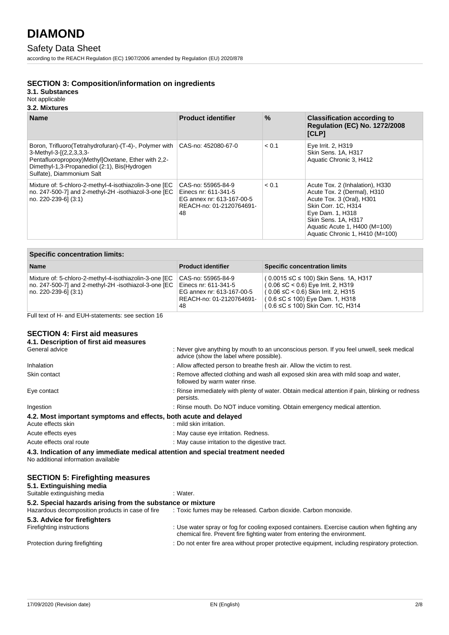### Safety Data Sheet

according to the REACH Regulation (EC) 1907/2006 amended by Regulation (EU) 2020/878

### **SECTION 3: Composition/information on ingredients**

**3.1. Substances**

### Not applicable

### **3.2. Mixtures**

| <b>Name</b>                                                                                                                                                                                                              | <b>Product identifier</b>                                                                                 | $\%$  | <b>Classification according to</b><br><b>Regulation (EC) No. 1272/2008</b><br>[CLP]                                                                                                                                               |
|--------------------------------------------------------------------------------------------------------------------------------------------------------------------------------------------------------------------------|-----------------------------------------------------------------------------------------------------------|-------|-----------------------------------------------------------------------------------------------------------------------------------------------------------------------------------------------------------------------------------|
| Boron, Trifluoro (Tetrahydrofuran) - (T-4) -, Polymer with<br>3-Methyl-3-[(2,2,3,3,3-<br>Pentafluoropropoxy)Methyl]Oxetane, Ether with 2,2-<br>Dimethyl-1,3-Propanediol (2:1), Bis(Hydrogen<br>Sulfate), Diammonium Salt | CAS-no: 452080-67-0                                                                                       | < 0.1 | Eye Irrit. 2, H319<br>Skin Sens. 1A, H317<br>Aquatic Chronic 3, H412                                                                                                                                                              |
| Mixture of: 5-chloro-2-methyl-4-isothiazolin-3-one [EC<br>no. 247-500-7] and 2-methyl-2H -isothiazol-3-one [EC<br>no. 220-239-6] (3:1)                                                                                   | CAS-no: 55965-84-9<br>Einecs nr: 611-341-5<br>EG annex nr: 613-167-00-5<br>REACH-no: 01-2120764691-<br>48 | < 0.1 | Acute Tox. 2 (Inhalation), H330<br>Acute Tox. 2 (Dermal), H310<br>Acute Tox. 3 (Oral), H301<br>Skin Corr. 1C. H314<br>Eye Dam. 1, H318<br>Skin Sens. 1A, H317<br>Aquatic Acute 1, H400 (M=100)<br>Aquatic Chronic 1, H410 (M=100) |

| <b>Specific concentration limits:</b>                                                                                                  |                                                                                                           |                                                                                                                                                                                                                           |  |
|----------------------------------------------------------------------------------------------------------------------------------------|-----------------------------------------------------------------------------------------------------------|---------------------------------------------------------------------------------------------------------------------------------------------------------------------------------------------------------------------------|--|
| <b>Name</b>                                                                                                                            | <b>Product identifier</b>                                                                                 | <b>Specific concentration limits</b>                                                                                                                                                                                      |  |
| Mixture of: 5-chloro-2-methyl-4-isothiazolin-3-one [EC<br>no. 247-500-7] and 2-methyl-2H -isothiazol-3-one [EC<br>no. 220-239-61 (3:1) | CAS-no: 55965-84-9<br>Einecs nr: 611-341-5<br>EG annex nr: 613-167-00-5<br>REACH-no: 01-2120764691-<br>48 | (0.0015 ≤C ≤ 100) Skin Sens. 1A, H317<br>$(0.06 \leq C < 0.6)$ Eye Irrit. 2, H319<br>$(0.06 \leq C$ < 0.6) Skin Irrit. 2, H315<br>$(0.6 \leq C \leq 100)$ Eye Dam. 1, H318<br>$(0.6 \leq C \leq 100)$ Skin Corr. 1C, H314 |  |

Full text of H- and EUH-statements: see section 16

### **SECTION 4: First aid measures**

| 4.1. Description of first aid measures                           |                                                                                                                                      |
|------------------------------------------------------------------|--------------------------------------------------------------------------------------------------------------------------------------|
| General advice                                                   | : Never give anything by mouth to an unconscious person. If you feel unwell, seek medical<br>advice (show the label where possible). |
| Inhalation                                                       | : Allow affected person to breathe fresh air. Allow the victim to rest.                                                              |
| Skin contact                                                     | : Remove affected clothing and wash all exposed skin area with mild soap and water,<br>followed by warm water rinse.                 |
| Eye contact                                                      | : Rinse immediately with plenty of water. Obtain medical attention if pain, blinking or redness<br>persists.                         |
| Ingestion                                                        | : Rinse mouth. Do NOT induce vomiting. Obtain emergency medical attention.                                                           |
| 4.2. Most important symptoms and effects, both acute and delayed |                                                                                                                                      |
| Acute effects skin                                               | : mild skin irritation.                                                                                                              |
| Acute effects eyes                                               | : May cause eye irritation. Redness.                                                                                                 |
| Acute effects oral route                                         | : May cause irritation to the digestive tract.                                                                                       |
| No additional information available                              | 4.3. Indication of any immediate medical attention and special treatment needed                                                      |
| <b>SECTION 5: Firefighting measures</b>                          |                                                                                                                                      |
| 5.1. Extinguishing media                                         |                                                                                                                                      |

| <br>Suitable extinguishing media                           | : Water.                                                                                                                                                                 |
|------------------------------------------------------------|--------------------------------------------------------------------------------------------------------------------------------------------------------------------------|
| 5.2. Special hazards arising from the substance or mixture |                                                                                                                                                                          |
| Hazardous decomposition products in case of fire           | : Toxic fumes may be released. Carbon dioxide. Carbon monoxide.                                                                                                          |
| 5.3. Advice for firefighters                               |                                                                                                                                                                          |
| Firefighting instructions                                  | : Use water spray or fog for cooling exposed containers. Exercise caution when fighting any<br>chemical fire. Prevent fire fighting water from entering the environment. |
| Protection during firefighting                             | : Do not enter fire area without proper protective equipment, including respiratory protection.                                                                          |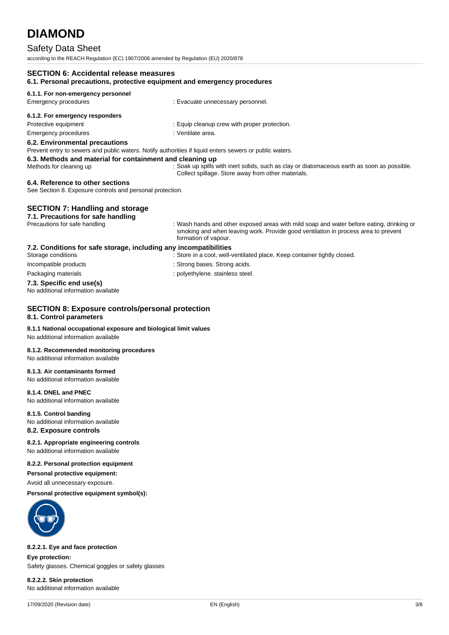### Safety Data Sheet

according to the REACH Regulation (EC) 1907/2006 amended by Regulation (EU) 2020/878

| <b>SECTION 6: Accidental release measures</b><br>6.1. Personal precautions, protective equipment and emergency procedures                 |                                                                                                                                                                                                        |
|-------------------------------------------------------------------------------------------------------------------------------------------|--------------------------------------------------------------------------------------------------------------------------------------------------------------------------------------------------------|
| 6.1.1. For non-emergency personnel                                                                                                        |                                                                                                                                                                                                        |
| <b>Emergency procedures</b>                                                                                                               | : Evacuate unnecessary personnel.                                                                                                                                                                      |
| 6.1.2. For emergency responders                                                                                                           |                                                                                                                                                                                                        |
| Protective equipment                                                                                                                      | : Equip cleanup crew with proper protection.                                                                                                                                                           |
| <b>Emergency procedures</b>                                                                                                               | : Ventilate area.                                                                                                                                                                                      |
| 6.2. Environmental precautions<br>Prevent entry to sewers and public waters. Notify authorities if liquid enters sewers or public waters. |                                                                                                                                                                                                        |
| 6.3. Methods and material for containment and cleaning up<br>Methods for cleaning up                                                      | : Soak up spills with inert solids, such as clay or diatomaceous earth as soon as possible.<br>Collect spillage. Store away from other materials.                                                      |
| 6.4. Reference to other sections<br>See Section 8. Exposure controls and personal protection.                                             |                                                                                                                                                                                                        |
| <b>SECTION 7: Handling and storage</b>                                                                                                    |                                                                                                                                                                                                        |
| 7.1. Precautions for safe handling                                                                                                        |                                                                                                                                                                                                        |
| Precautions for safe handling                                                                                                             | : Wash hands and other exposed areas with mild soap and water before eating, drinking or<br>smoking and when leaving work. Provide good ventilation in process area to prevent<br>formation of vapour. |
| 7.2. Conditions for safe storage, including any incompatibilities                                                                         |                                                                                                                                                                                                        |
| Storage conditions                                                                                                                        | : Store in a cool, well-ventilated place. Keep container tightly closed.                                                                                                                               |
| Incompatible products                                                                                                                     | : Strong bases. Strong acids.                                                                                                                                                                          |
| Packaging materials                                                                                                                       | : polyethylene. stainless steel.                                                                                                                                                                       |
| 7.3. Specific end use(s)<br>No additional information available                                                                           |                                                                                                                                                                                                        |
| <b>SECTION 8: Exposure controls/personal protection</b><br>8.1. Control parameters                                                        |                                                                                                                                                                                                        |

### **8.1.1 National occupational exposure and biological limit values**

No additional information available

### **8.1.2. Recommended monitoring procedures**

No additional information available

### **8.1.3. Air contaminants formed**

No additional information available

### **8.1.4. DNEL and PNEC**

No additional information available

#### **8.1.5. Control banding**

No additional information available

### **8.2. Exposure controls**

### **8.2.1. Appropriate engineering controls**

No additional information available

### **8.2.2. Personal protection equipment**

**Personal protective equipment:**

Avoid all unnecessary exposure.

### **Personal protective equipment symbol(s):**



### **8.2.2.1. Eye and face protection**

**Eye protection:** Safety glasses. Chemical goggles or safety glasses

### **8.2.2.2. Skin protection** No additional information available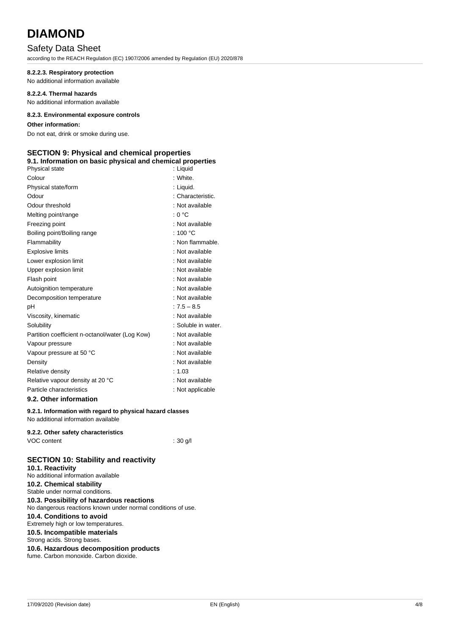### Safety Data Sheet

according to the REACH Regulation (EC) 1907/2006 amended by Regulation (EU) 2020/878

### **8.2.2.3. Respiratory protection**

No additional information available

### **8.2.2.4. Thermal hazards**

No additional information available

### **8.2.3. Environmental exposure controls**

### **Other information:**

Do not eat, drink or smoke during use.

### **SECTION 9: Physical and chemical properties**

### **9.1. Information on basic physical and chemical properties**

| Physical state                                  | : Liguid            |
|-------------------------------------------------|---------------------|
| Colour                                          | : White             |
| Physical state/form                             | : Liquid.           |
| Odour                                           | : Characteristic.   |
| Odour threshold                                 | : Not available     |
| Melting point/range                             | : 0 °C              |
| Freezing point                                  | : Not available     |
| Boiling point/Boiling range                     | : 100 $\degree$ C   |
| Flammability                                    | : Non flammable.    |
| <b>Explosive limits</b>                         | : Not available     |
| Lower explosion limit                           | : Not available     |
| Upper explosion limit                           | : Not available     |
| Flash point                                     | : Not available     |
| Autoignition temperature                        | : Not available     |
| Decomposition temperature                       | : Not available     |
| рH                                              | $: 7.5 - 8.5$       |
| Viscosity, kinematic                            | : Not available     |
| Solubility                                      | : Soluble in water. |
| Partition coefficient n-octanol/water (Log Kow) | : Not available     |
| Vapour pressure                                 | : Not available     |
| Vapour pressure at 50 °C                        | : Not available     |
| Density                                         | : Not available     |
| Relative density                                | : 1.03              |
| Relative vapour density at 20 °C                | : Not available     |
| Particle characteristics                        | : Not applicable    |
| 9.2. Other information                          |                     |

### **9.2.1. Information with regard to physical hazard classes**

No additional information available

### **9.2.2. Other safety characteristics** VOC content : 30 g/l

### **SECTION 10: Stability and reactivity**

**10.1. Reactivity** No additional information available **10.2. Chemical stability** Stable under normal conditions. **10.3. Possibility of hazardous reactions** No dangerous reactions known under normal conditions of use. **10.4. Conditions to avoid** Extremely high or low temperatures. **10.5. Incompatible materials** Strong acids. Strong bases. **10.6. Hazardous decomposition products** fume. Carbon monoxide. Carbon dioxide.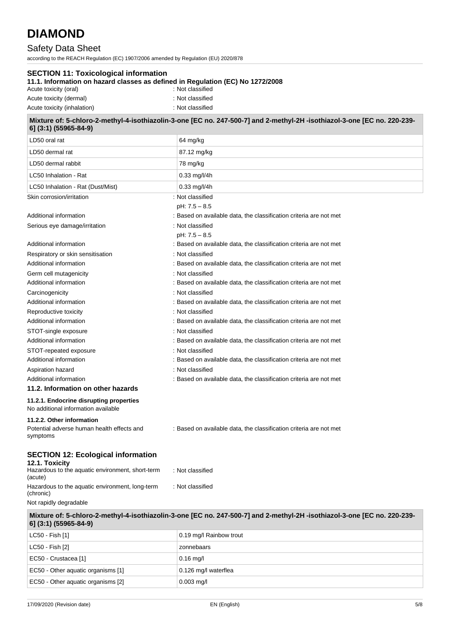### Safety Data Sheet

according to the REACH Regulation (EC) 1907/2006 amended by Regulation (EU) 2020/878

| <b>SECTION 11: Toxicological information</b><br>11.1. Information on hazard classes as defined in Regulation (EC) No 1272/2008<br>Acute toxicity (oral) | : Not classified                                                                                                        |
|---------------------------------------------------------------------------------------------------------------------------------------------------------|-------------------------------------------------------------------------------------------------------------------------|
| Acute toxicity (dermal)                                                                                                                                 | : Not classified                                                                                                        |
| Acute toxicity (inhalation)                                                                                                                             | : Not classified                                                                                                        |
| 6] (3:1) (55965-84-9)                                                                                                                                   | Mixture of: 5-chloro-2-methyl-4-isothiazolin-3-one [EC no. 247-500-7] and 2-methyl-2H-isothiazol-3-one [EC no. 220-239- |
| LD50 oral rat                                                                                                                                           | 64 mg/kg                                                                                                                |
| LD50 dermal rat                                                                                                                                         | 87.12 mg/kg                                                                                                             |
| LD50 dermal rabbit                                                                                                                                      | 78 mg/kg                                                                                                                |
| LC50 Inhalation - Rat                                                                                                                                   | $0.33$ mg/l/4h                                                                                                          |
| LC50 Inhalation - Rat (Dust/Mist)                                                                                                                       | $0.33 \,\mathrm{mg/ I/4h}$                                                                                              |
| Skin corrosion/irritation                                                                                                                               | : Not classified                                                                                                        |
|                                                                                                                                                         | pH: 7.5 - 8.5                                                                                                           |
| Additional information                                                                                                                                  | : Based on available data, the classification criteria are not met                                                      |
| Serious eye damage/irritation                                                                                                                           | : Not classified                                                                                                        |
|                                                                                                                                                         | pH: 7.5 - 8.5                                                                                                           |
| Additional information                                                                                                                                  | : Based on available data, the classification criteria are not met                                                      |
| Respiratory or skin sensitisation<br>Additional information                                                                                             | : Not classified                                                                                                        |
|                                                                                                                                                         | : Based on available data, the classification criteria are not met<br>: Not classified                                  |
| Germ cell mutagenicity<br>Additional information                                                                                                        | : Based on available data, the classification criteria are not met                                                      |
| Carcinogenicity                                                                                                                                         | : Not classified                                                                                                        |
| Additional information                                                                                                                                  | : Based on available data, the classification criteria are not met                                                      |
| Reproductive toxicity                                                                                                                                   | : Not classified                                                                                                        |
| Additional information                                                                                                                                  | : Based on available data, the classification criteria are not met                                                      |
| STOT-single exposure                                                                                                                                    | : Not classified                                                                                                        |
| Additional information                                                                                                                                  | : Based on available data, the classification criteria are not met                                                      |
| STOT-repeated exposure                                                                                                                                  | : Not classified                                                                                                        |
| Additional information                                                                                                                                  | : Based on available data, the classification criteria are not met                                                      |
| Aspiration hazard                                                                                                                                       | : Not classified                                                                                                        |
| Additional information                                                                                                                                  | : Based on available data, the classification criteria are not met                                                      |
| 11.2. Information on other hazards                                                                                                                      |                                                                                                                         |
| 11.2.1. Endocrine disrupting properties<br>No additional information available                                                                          |                                                                                                                         |
| 11.2.2. Other information<br>Potential adverse human health effects and<br>symptoms                                                                     | : Based on available data, the classification criteria are not met                                                      |
| <b>SECTION 12: Ecological information</b><br>12.1. Toxicity<br>Hazardous to the aquatic environment, short-term<br>(acute)                              | : Not classified                                                                                                        |
| Hazardous to the aquatic environment, long-term<br>(chronic)<br>Not rapidly degradable                                                                  | : Not classified                                                                                                        |
| 6] (3:1) (55965-84-9)                                                                                                                                   | Mixture of: 5-chloro-2-methyl-4-isothiazolin-3-one [EC no. 247-500-7] and 2-methyl-2H-isothiazol-3-one [EC no. 220-239- |
| LC50 - Fish [1]                                                                                                                                         | 0.19 mg/l Rainbow trout                                                                                                 |
| LC50 - Fish [2]                                                                                                                                         | zonnebaars                                                                                                              |
| EC50 - Crustacea [1]                                                                                                                                    | $0.16$ mg/l                                                                                                             |

17/09/2020 (Revision date) EN (English) 5/8

 $\vert$  EC50 - Other aquatic organisms [1]  $\vert$  0.126 mg/l waterflea

EC50 - Other aquatic organisms [2] 0.003 mg/l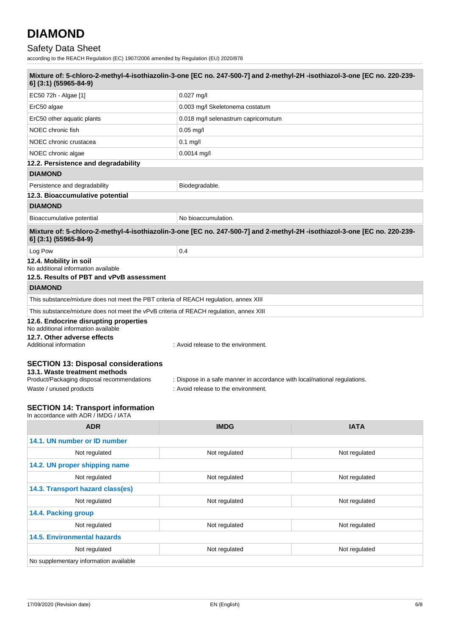# Safety Data Sheet

according to the REACH Regulation (EC) 1907/2006 amended by Regulation (EU) 2020/878

| Mixture of: 5-chloro-2-methyl-4-isothiazolin-3-one [EC no. 247-500-7] and 2-methyl-2H-isothiazol-3-one [EC no. 220-239-<br>6] (3:1) (55965-84-9)     |                                                                                                                         |  |  |
|------------------------------------------------------------------------------------------------------------------------------------------------------|-------------------------------------------------------------------------------------------------------------------------|--|--|
| EC50 72h - Algae [1]                                                                                                                                 | $0.027$ mg/l                                                                                                            |  |  |
| ErC50 algae                                                                                                                                          | 0.003 mg/l Skeletonema costatum                                                                                         |  |  |
| ErC50 other aquatic plants                                                                                                                           | 0.018 mg/l selenastrum capricornutum                                                                                    |  |  |
| NOEC chronic fish                                                                                                                                    | $0.05 \,\mathrm{mg/l}$                                                                                                  |  |  |
| NOEC chronic crustacea                                                                                                                               | $0.1$ mg/l                                                                                                              |  |  |
| NOEC chronic algae                                                                                                                                   | $0.0014$ mg/l                                                                                                           |  |  |
| 12.2. Persistence and degradability                                                                                                                  |                                                                                                                         |  |  |
| <b>DIAMOND</b>                                                                                                                                       |                                                                                                                         |  |  |
| Persistence and degradability                                                                                                                        | Biodegradable.                                                                                                          |  |  |
| 12.3. Bioaccumulative potential                                                                                                                      |                                                                                                                         |  |  |
| <b>DIAMOND</b>                                                                                                                                       |                                                                                                                         |  |  |
| Bioaccumulative potential                                                                                                                            | No bioaccumulation.                                                                                                     |  |  |
| 6] (3:1) (55965-84-9)                                                                                                                                | Mixture of: 5-chloro-2-methyl-4-isothiazolin-3-one [EC no. 247-500-7] and 2-methyl-2H-isothiazol-3-one [EC no. 220-239- |  |  |
| Log Pow                                                                                                                                              | 0.4                                                                                                                     |  |  |
| 12.4. Mobility in soil<br>No additional information available<br>12.5. Results of PBT and vPvB assessment                                            |                                                                                                                         |  |  |
| <b>DIAMOND</b>                                                                                                                                       |                                                                                                                         |  |  |
| This substance/mixture does not meet the PBT criteria of REACH regulation, annex XIII                                                                |                                                                                                                         |  |  |
| This substance/mixture does not meet the vPvB criteria of REACH regulation, annex XIII                                                               |                                                                                                                         |  |  |
| 12.6. Endocrine disrupting properties<br>No additional information available                                                                         |                                                                                                                         |  |  |
| 12.7. Other adverse effects<br>Additional information                                                                                                | : Avoid release to the environment.                                                                                     |  |  |
| <b>SECTION 13: Disposal considerations</b><br>13.1. Waste treatment methods<br>Product/Packaging disposal recommendations<br>Waste / unused products | : Dispose in a safe manner in accordance with local/national regulations.<br>: Avoid release to the environment.        |  |  |
| OFOTION 44. T.A<br>بالمصحح والمرابعين                                                                                                                |                                                                                                                         |  |  |

Г

| <b>ADR</b>                             | <b>IMDG</b>   | <b>IATA</b>   |
|----------------------------------------|---------------|---------------|
| 14.1. UN number or ID number           |               |               |
| Not regulated                          | Not regulated | Not regulated |
| 14.2. UN proper shipping name          |               |               |
| Not regulated                          | Not regulated | Not regulated |
| 14.3. Transport hazard class(es)       |               |               |
| Not regulated                          | Not regulated | Not regulated |
| 14.4. Packing group                    |               |               |
| Not regulated                          | Not regulated | Not regulated |
| <b>14.5. Environmental hazards</b>     |               |               |
| Not regulated                          | Not regulated | Not regulated |
| No supplementary information available |               |               |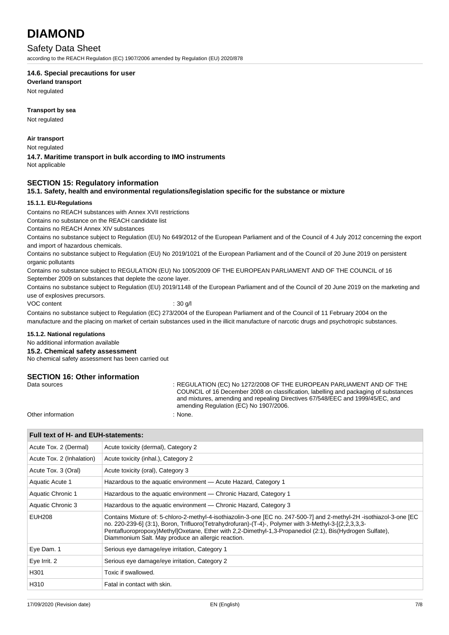### Safety Data Sheet

according to the REACH Regulation (EC) 1907/2006 amended by Regulation (EU) 2020/878

### **14.6. Special precautions for user**

**Overland transport**

Not regulated

### **Transport by sea**

Not regulated

### **Air transport**

Not regulated

## **14.7. Maritime transport in bulk according to IMO instruments**

Not applicable

### **SECTION 15: Regulatory information**

### **15.1. Safety, health and environmental regulations/legislation specific for the substance or mixture**

### **15.1.1. EU-Regulations**

Contains no REACH substances with Annex XVII restrictions

Contains no substance on the REACH candidate list

Contains no REACH Annex XIV substances

Contains no substance subject to Regulation (EU) No 649/2012 of the European Parliament and of the Council of 4 July 2012 concerning the export and import of hazardous chemicals.

Contains no substance subject to Regulation (EU) No 2019/1021 of the European Parliament and of the Council of 20 June 2019 on persistent organic pollutants

Contains no substance subject to REGULATION (EU) No 1005/2009 OF THE EUROPEAN PARLIAMENT AND OF THE COUNCIL of 16 September 2009 on substances that deplete the ozone layer.

Contains no substance subject to Regulation (EU) 2019/1148 of the European Parliament and of the Council of 20 June 2019 on the marketing and use of explosives precursors.

VOC content : 30 g/l

Contains no substance subject to Regulation (EC) 273/2004 of the European Parliament and of the Council of 11 February 2004 on the manufacture and the placing on market of certain substances used in the illicit manufacture of narcotic drugs and psychotropic substances.

### **15.1.2. National regulations**

### No additional information available

**15.2. Chemical safety assessment**

No chemical safety assessment has been carried out

### **SECTION 16: Other information**

Data sources **State State State State State State State State State State State State State State State State State State State State State State State State State State State State State State State State State State Stat** COUNCIL of 16 December 2008 on classification, labelling and packaging of substances and mixtures, amending and repealing Directives 67/548/EEC and 1999/45/EC, and amending Regulation (EC) No 1907/2006.

Other information : None.

### **Full text of H- and EUH-statements:**

| Acute Tox. 2 (Dermal)     | Acute toxicity (dermal), Category 2                                                                                                                                                                                                                                                                                                                                                            |
|---------------------------|------------------------------------------------------------------------------------------------------------------------------------------------------------------------------------------------------------------------------------------------------------------------------------------------------------------------------------------------------------------------------------------------|
| Acute Tox. 2 (Inhalation) | Acute toxicity (inhal.), Category 2                                                                                                                                                                                                                                                                                                                                                            |
| Acute Tox. 3 (Oral)       | Acute toxicity (oral), Category 3                                                                                                                                                                                                                                                                                                                                                              |
| Aquatic Acute 1           | Hazardous to the aquatic environment - Acute Hazard, Category 1                                                                                                                                                                                                                                                                                                                                |
| Aquatic Chronic 1         | Hazardous to the aquatic environment — Chronic Hazard, Category 1                                                                                                                                                                                                                                                                                                                              |
| Aquatic Chronic 3         | Hazardous to the aquatic environment — Chronic Hazard, Category 3                                                                                                                                                                                                                                                                                                                              |
| <b>EUH208</b>             | Contains Mixture of: 5-chloro-2-methyl-4-isothiazolin-3-one [EC no. 247-500-7] and 2-methyl-2H -isothiazol-3-one [EC<br>no. 220-239-6] (3:1), Boron, Trifluoro(Tetrahydrofuran)-(T-4)-, Polymer with 3-Methyl-3-[(2,2,3,3,3-<br>Pentafluoropropoxy)Methyl]Oxetane, Ether with 2,2-Dimethyl-1,3-Propanediol (2:1), Bis(Hydrogen Sulfate),<br>Diammonium Salt. May produce an allergic reaction. |
| Eye Dam. 1                | Serious eye damage/eye irritation, Category 1                                                                                                                                                                                                                                                                                                                                                  |
| Eye Irrit. 2              | Serious eye damage/eye irritation, Category 2                                                                                                                                                                                                                                                                                                                                                  |
| H301                      | Toxic if swallowed.                                                                                                                                                                                                                                                                                                                                                                            |
| H310                      | Fatal in contact with skin.                                                                                                                                                                                                                                                                                                                                                                    |